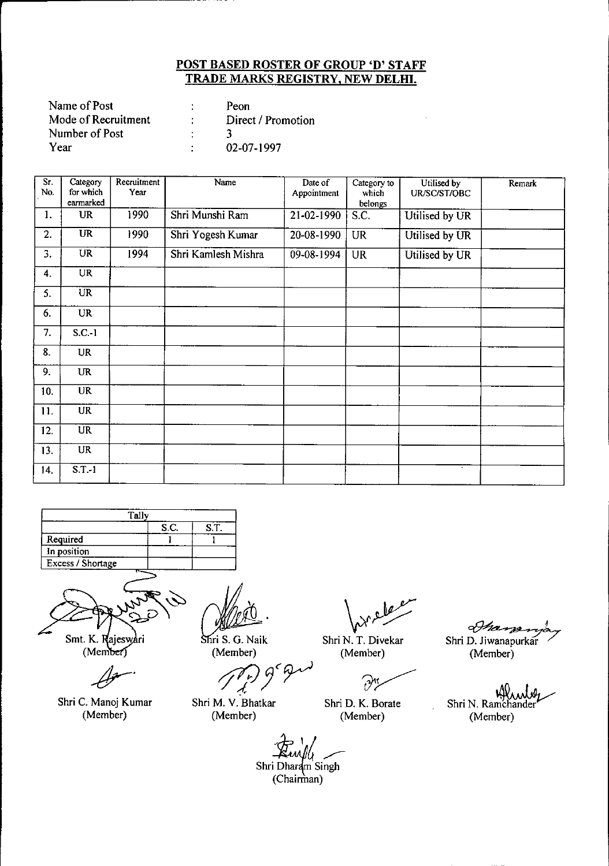| Name of Post        | Peon               |
|---------------------|--------------------|
| Mode of Recruitment | Direct / Promotion |
| Number of Post      |                    |
| Year                | 02-07-1997         |

| Sr.<br>No. | Category<br>for which<br>earmarked | Recruitment<br>Year | Name                | Date of<br>Appointment | Category to<br>which<br>belongs | Utilised by<br>UR/SC/ST/OBC | Remark |
|------------|------------------------------------|---------------------|---------------------|------------------------|---------------------------------|-----------------------------|--------|
| 1.         | UR                                 | 1990                | Shri Munshi Ram     | 21-02-1990             | S.C.                            | Utilised by UR              |        |
| 2.         | <b>UR</b>                          | 1990                | Shri Yogesh Kumar   | 20-08-1990             | <b>UR</b>                       | Utilised by UR              |        |
| 3.         | <b>UR</b>                          | 1994                | Shri Kamlesh Mishra | 09-08-1994             | <b>UR</b>                       | Utilised by UR              |        |
| 4.         | <b>UR</b>                          |                     |                     |                        |                                 |                             |        |
| 5.         | $\overline{UR}$                    |                     |                     |                        |                                 |                             |        |
| 6.         | <b>UR</b>                          |                     |                     |                        |                                 |                             |        |
| 7.         | $S.C.-1$                           |                     |                     |                        |                                 |                             |        |
| 8.         | <b>UR</b>                          |                     |                     |                        |                                 |                             |        |
| 9.         | <b>UR</b>                          |                     |                     |                        |                                 |                             |        |
| 10.        | <b>UR</b>                          |                     |                     |                        |                                 |                             |        |
| 11.        | <b>UR</b>                          |                     |                     |                        |                                 |                             |        |
| 12.        | <b>UR</b>                          |                     |                     |                        |                                 |                             |        |
| 13.        | <b>UR</b>                          |                     |                     |                        |                                 |                             |        |
| 14.        | $S.T.-1$                           |                     |                     |                        |                                 |                             |        |





Smt. K. Rajeswari<br>(Member)

*-dr-*

Shri C. Manoj Kumar (Member)

Shri S. G. Naik (Member)

Shri M. V. Bhatkar (Member)

*~JC~*

Shri N. T. Divekar

(Member)

 $\gamma$ 

Shri D. K. Borate (Member)

Shan Shri D. Jiwanapurkar (Member)

~ Shri N. Ramchander (Member)

*'qr",'At \_*

Shri Dharam Singh (Chairman)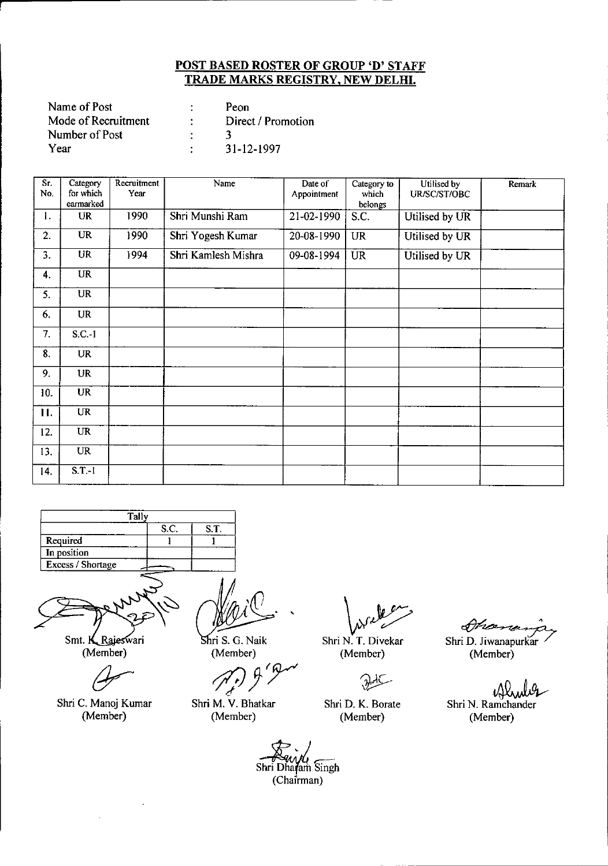| Name of Post        | Peon               |
|---------------------|--------------------|
| Mode of Recruitment | Direct / Promotion |
| Number of Post      |                    |
| Year                | 31-12-1997         |

| $\overline{\text{Sr}}$<br>No. | Category<br>for which | Recruitment<br>Year | Name                | Date of<br>Appointment | Category to<br>which | Utilised by<br>UR/SC/ST/OBC | <b>Remark</b> |
|-------------------------------|-----------------------|---------------------|---------------------|------------------------|----------------------|-----------------------------|---------------|
|                               | earmarked             |                     |                     |                        | belongs              |                             |               |
| 1.                            | <b>UR</b>             | 1990                | Shri Munshi Ram     | 21-02-1990             | S.C.                 | Utilised by UR              |               |
| 2.                            | <b>UR</b>             | 1990                | Shri Yogesh Kumar   | 20-08-1990             | <b>UR</b>            | Utilised by UR              |               |
| 3.                            | <b>UR</b>             | 1994                | Shri Kamlesh Mishra | 09-08-1994             | $\overline{UR}$      | Utilised by UR              |               |
| 4.                            | UR                    |                     |                     |                        |                      |                             |               |
| 5.                            | $\overline{UR}$       |                     |                     |                        |                      |                             |               |
| 6.                            | <b>UR</b>             |                     |                     |                        |                      |                             |               |
| 7.                            | $S.C.-1$              |                     |                     |                        |                      |                             |               |
| 8.                            | UR                    |                     |                     |                        |                      |                             |               |
| 9.                            | <b>UR</b>             |                     |                     |                        |                      |                             |               |
| 10.                           | <b>UR</b>             |                     |                     |                        |                      |                             |               |
| 11.                           | <b>UR</b>             |                     |                     |                        |                      |                             |               |
| 12.                           | <b>UR</b>             |                     |                     |                        |                      |                             |               |
| 13.                           | <b>UR</b>             |                     |                     |                        |                      |                             |               |
| 14.                           | $S.T.-1$              |                     |                     |                        |                      |                             |               |





Smt. K Rajeswari (Member)

 $\ddot{\phantom{a}}$ 

Shri C. Manoj Kumar (Member)

*M~/(o*  $\chi/\chi$ 

Shri S. G. Naik (Member)

*'lljJjY*

Shri M. V. Bhatkar (Member)

**\** 

Shri N. T. Divekar (Member)

فليلو

Shri D. K. Borate (Member)

 $\Delta \mathcal{P}$ 

Shri D. Jiwanapurkar (Member)

 $\mathcal{U}_r$ 

Shri N. Ramchander (Member)

Shri Dharam Singh (Chairman)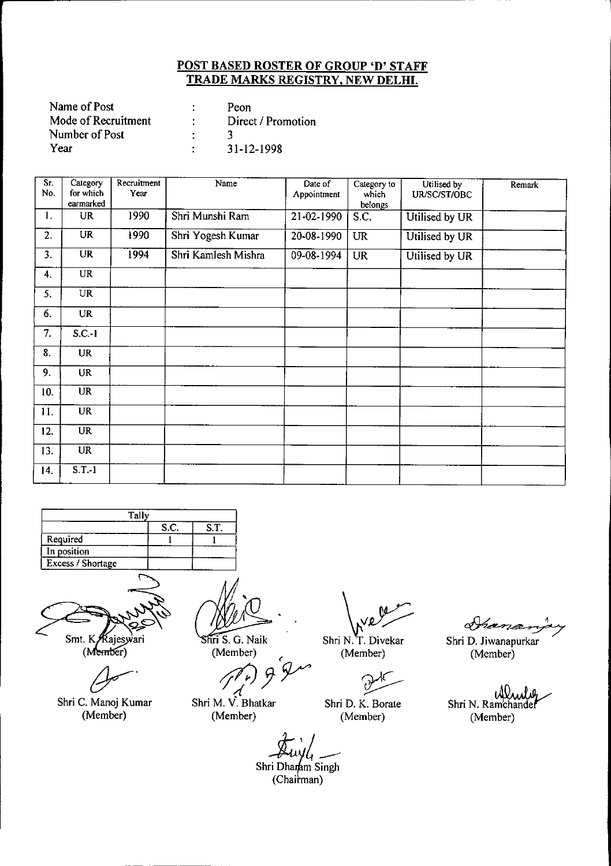| Name of Post        | Peon               |
|---------------------|--------------------|
| Mode of Recruitment | Direct / Promotion |
| Number of Post      |                    |
| Year                | 31-12-1998         |

| Sr.<br>No. | Category<br>for which<br>earmarked | Recruitment<br>Year | Name                | Date of<br>Appointment | Category to<br>which<br>belongs | Utilised by<br>UR/SC/ST/OBC | Remark |
|------------|------------------------------------|---------------------|---------------------|------------------------|---------------------------------|-----------------------------|--------|
| 1.         | <b>UR</b>                          | 1990                | Shri Munshi Ram     | $21 - 02 - 1990$       | S.C.                            | Utilised by UR              |        |
| 2.         | $\overline{\text{UR}}$             | 1990                | Shri Yogesh Kumar   | 20-08-1990             | <b>UR</b>                       | Utilised by UR              |        |
| 3.         | <b>UR</b>                          | 1994                | Shri Kamlesh Mishra | 09-08-1994             | <b>UR</b>                       | Utilised by UR              |        |
| 4.         | <b>UR</b>                          |                     |                     |                        |                                 |                             |        |
| 5.         | UR                                 |                     |                     |                        |                                 |                             |        |
| 6.         | <b>UR</b>                          |                     |                     |                        |                                 |                             |        |
| 7.         | $S.C.-1$                           |                     |                     |                        |                                 |                             |        |
| 8.         | <b>UR</b>                          |                     |                     |                        |                                 |                             |        |
| 9.         | <b>UR</b>                          |                     |                     |                        |                                 |                             |        |
| 10.        | $\overline{\mathbf{UR}}$           |                     |                     |                        |                                 |                             |        |
| 11.        | <b>UR</b>                          |                     |                     |                        |                                 |                             |        |
| 12.        | $\overline{UR}$                    |                     |                     |                        |                                 |                             |        |
| 13.        | <b>UR</b>                          |                     |                     |                        |                                 |                             |        |
| 14.        | $S.T.-1$                           |                     |                     |                        |                                 |                             |        |

| S.C. | S.T.  |
|------|-------|
|      |       |
|      |       |
|      |       |
|      | Tallv |



Smt. K Rajeswari<br>(Member)

 $\overline{\mathcal{A}}$ 

Shri C. Manoj Kumar (Member)

Shri S. G. Naik (Member)

(Member)

*j7:Jy~ d* Shri M. V. Bhatkar

Shri N. T. Divekar

(Member)

~

Shri D. K. Borate (Member)

Shri D. Jiwanapurkar (Member)

Arana

idhaal Shri N. Ramchander (Member)

~'!-- Shri Dha+m Singh

(Chairman)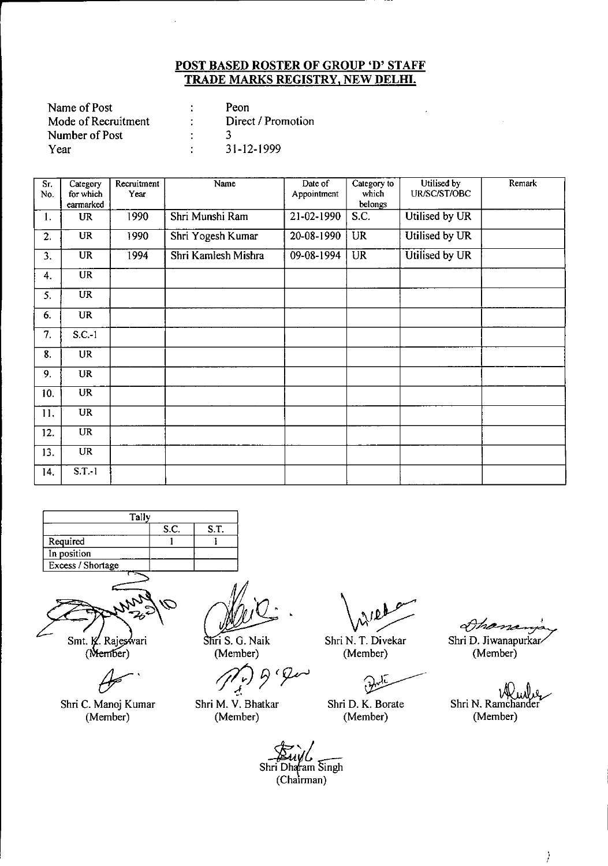| Name of Post        | Peon               |
|---------------------|--------------------|
| Mode of Recruitment | Direct / Promotion |
| Number of Post      |                    |
| Year                | 31-12-1999         |

| $\overline{\text{Sr.}}$<br>No. | Category<br>for which<br>earmarked | Recruitment<br>Year | Name                | Date of<br>Appointment | Category to<br>which<br>belongs | Utilised by<br>UR/SC/ST/OBC | Remark |
|--------------------------------|------------------------------------|---------------------|---------------------|------------------------|---------------------------------|-----------------------------|--------|
| 1.                             | <b>UR</b>                          | 1990                | Shri Munshi Ram     | 21-02-1990             | S.C.                            | Utilised by UR              |        |
| 2.                             | <b>UR</b>                          | 1990                | Shri Yogesh Kumar   | $20 - 08 - 1990$       | UR                              | Utilised by UR              |        |
| 3.                             | <b>UR</b>                          | 1994                | Shri Kamlesh Mishra | 09-08-1994             | <b>UR</b>                       | Utilised by UR              |        |
| 4.                             | <b>UR</b>                          |                     |                     |                        |                                 |                             |        |
| 5.                             | UR <sup>1</sup>                    |                     |                     |                        |                                 |                             |        |
| 6.                             | <b>UR</b>                          |                     |                     |                        |                                 |                             |        |
| 7.                             | $S.C.-1$                           |                     |                     |                        |                                 |                             |        |
| 8.                             | UR                                 |                     |                     |                        |                                 |                             |        |
| 9.                             | <b>UR</b>                          |                     |                     |                        |                                 |                             |        |
| 10.                            | UR                                 |                     |                     |                        |                                 |                             |        |
| 11.                            | <b>UR</b>                          |                     |                     |                        |                                 |                             |        |
| 12.                            | $\overline{\text{UR}}$             |                     |                     |                        |                                 |                             |        |
| 13.                            | UR                                 |                     |                     |                        |                                 |                             |        |
| 14.                            | $S.T.-1$                           |                     |                     |                        |                                 |                             |        |





Smt. K. Rajeswari<br>(Member)

Shri C. Manoj Kumar (Member)

Shri S. G. Naik (Member)

*rJ(;J* 9 (~ .'

Shri M. V. Bhatkar (Member)

 $\sqrt{2}$ 

Shri N. T. Divekar (Member)

 $\partial$ 

Shri D. K. Borate (Member)

Dhas

Shri D. Jiwanapurkar-(Member)

Shri N. Ramchander (Member)

*Buyl*<br>Shri Dharam Singh (Chairman)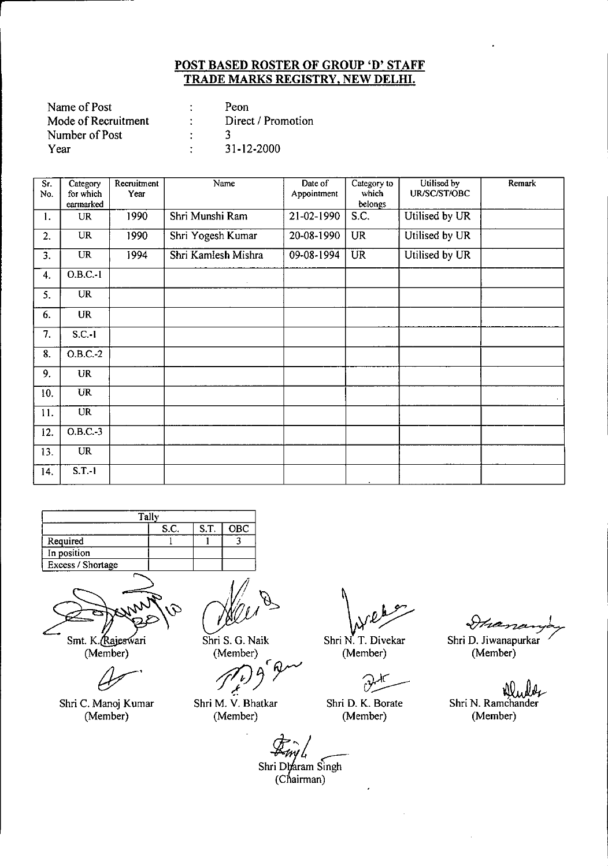| Name of Post        | Peon               |
|---------------------|--------------------|
| Mode of Recruitment | Direct / Promotion |
| Number of Post      |                    |
| Year                | 31-12-2000         |

| Sr.<br>No. | Category<br>for which | Recruitment<br>Year | Name                | Date of<br>Appointment | Category to<br>which | Utilised by<br>UR/SC/ST/OBC | Remark |
|------------|-----------------------|---------------------|---------------------|------------------------|----------------------|-----------------------------|--------|
|            | earmarked             |                     |                     |                        | belongs              |                             |        |
| 1.         | <b>UR</b>             | 1990                | Shri Munshi Ram     | 21-02-1990             | S.C.                 | Utilised by UR              |        |
| 2.         | <b>UR</b>             | 1990                | Shri Yogesh Kumar   | 20-08-1990             | <b>UR</b>            | Utilised by UR              |        |
| 3.         | <b>UR</b>             | 1994                | Shri Kamlesh Mishra | 09-08-1994             | <b>UR</b>            | Utilised by UR              |        |
| 4.         | O.B.C.·1              |                     |                     |                        |                      |                             |        |
| 5.         | <b>UR</b>             |                     |                     |                        |                      |                             |        |
| 6.         | <b>UR</b>             |                     |                     |                        |                      |                             |        |
| 7.         | $S.C.-1$              |                     |                     |                        |                      |                             |        |
| 8.         | $O.B.C. -2$           |                     |                     |                        |                      |                             |        |
| 9.         | <b>UR</b>             |                     |                     |                        |                      |                             |        |
| 10.        | <b>UR</b>             |                     |                     |                        |                      |                             |        |
| 11.        | <b>UR</b>             |                     |                     |                        |                      |                             |        |
| 12.        | $O$ B.C -3            |                     |                     |                        |                      |                             |        |
| 13.        | UR                    |                     |                     |                        |                      |                             |        |
| 14.        | $S.T.-1$              |                     |                     |                        |                      |                             |        |

| Tally                    |      |      |            |  |  |  |  |
|--------------------------|------|------|------------|--|--|--|--|
|                          | S.C. | S.T. | <b>OBC</b> |  |  |  |  |
| Required                 |      |      |            |  |  |  |  |
| In position              |      |      |            |  |  |  |  |
| <b>Excess / Shortage</b> |      |      |            |  |  |  |  |
|                          |      |      |            |  |  |  |  |



Smt. K. Rajeswari (Member)

Shri C. Manoj Kumar (Member)

~~

Shri S. G. Naik (Member)

*71jJJr~*

Shri M. V. Bhatkar (Member)

Shri N. T. Divekar

(Member)

Shri D. K. Borate (Member)

Ihananyo

Shri D. Jiwanapurkar (Member)

VI Shri N. Ramchander (Member)

ri Dharam Si<br>(Chairman) Shri Dharam Singh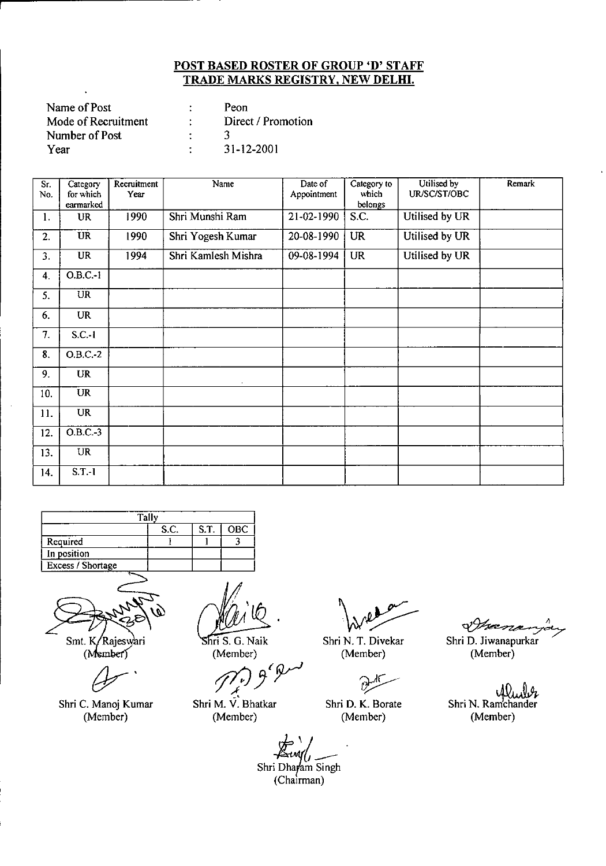| Name of Post        | Peon               |
|---------------------|--------------------|
| Mode of Recruitment | Direct / Promotion |
| Number of Post      |                    |
| Year                | 31-12-2001         |

| $\overline{\mathsf{Sr.}}$<br>No. | Category<br>for which<br>earmarked | Recruitment<br>Year | Name                | Date of<br>Appointment | Category to<br>which<br>belongs | Utilised by<br>UR/SC/ST/OBC | Remark |
|----------------------------------|------------------------------------|---------------------|---------------------|------------------------|---------------------------------|-----------------------------|--------|
| 1.                               | <b>UR</b>                          | 1990                | Shri Munshi Ram     | 21-02-1990             | S.C.                            | Utilised by UR              |        |
| 2.                               | <b>UR</b>                          | 1990                | Shri Yogesh Kumar   | 20-08-1990             | <b>UR</b>                       | Utilised by UR              |        |
| 3.                               | $\overline{UR}$                    | 1994                | Shri Kamlesh Mishra | 09-08-1994             | <b>UR</b>                       | Utilised by UR              |        |
| 4.                               | $O.B.C.-1$                         |                     |                     |                        |                                 |                             |        |
| 5.                               | $\overline{UR}$                    |                     |                     |                        |                                 |                             |        |
| 6.                               | <b>UR</b>                          |                     |                     |                        |                                 |                             |        |
| 7.                               | $S.C.-1$                           |                     |                     |                        |                                 |                             |        |
| 8.                               | $O.B.C.-2$                         |                     |                     |                        |                                 |                             |        |
| 9.                               | <b>UR</b>                          |                     |                     |                        |                                 |                             |        |
| 10.                              | <b>UR</b>                          |                     |                     |                        |                                 |                             |        |
| 11.                              | <b>UR</b>                          |                     |                     |                        |                                 |                             |        |
| 12.                              | $O.B.C.-3$                         |                     |                     |                        |                                 |                             |        |
| 13.                              | <b>UR</b>                          |                     |                     |                        |                                 |                             |        |
| 14.                              | $S.T.-1$                           |                     |                     |                        |                                 |                             |        |

|                   | S.C. | S.T. | <b>OBC</b> |  |  |  |
|-------------------|------|------|------------|--|--|--|
| Required          |      |      |            |  |  |  |
| In position       |      |      |            |  |  |  |
| Excess / Shortage |      |      |            |  |  |  |
|                   |      |      |            |  |  |  |



Sm!. (

 $\beta$ 

Shri C. Manoj Kumar (Member)

Shri S. G. Naik (Member)

*tJ7jJ J{~*

Shri M. V. Bhatkar (Member)

Shri N. T. Divekar (Member)

 $v^{\pm}$ 

Shri D. K. Borate (Member)

 $d\mathcal{H}$ 

Shri D. Jiwanapurkar (Member)

JI), Ibr Shri N. Ramchander (Member)

*E.,~t\_\_* Shri Dharam Singh (Chairman)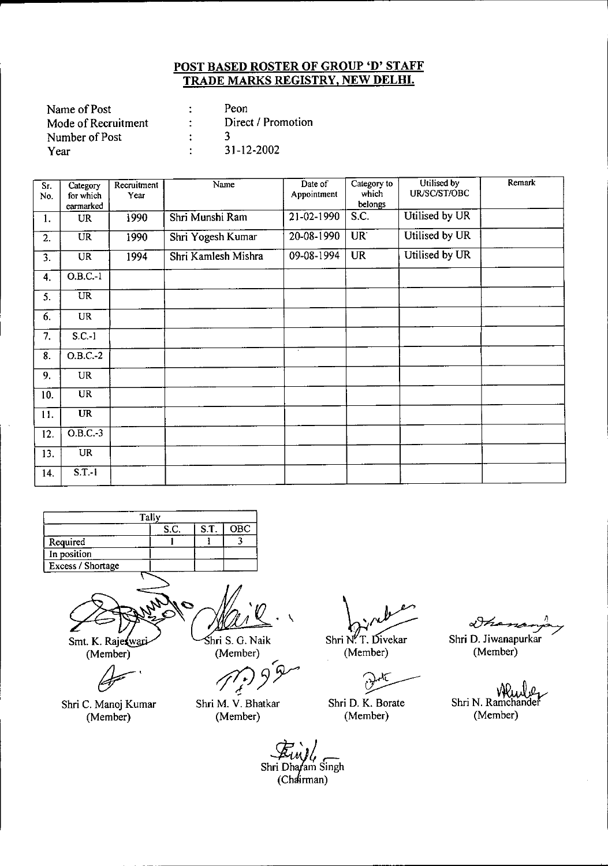| Name of Post        | Peon               |
|---------------------|--------------------|
| Mode of Recruitment | Direct / Promotion |
| Number of Post      |                    |
| Year                | 31-12-2002         |

| $S_{r}$<br>No. | Category<br>for which<br>earmarked | Recruitment<br>Year | Name                | Date of<br>Appointment | Category to<br>which<br>belongs | Utilised by<br>UR/SC/ST/OBC | Remark |
|----------------|------------------------------------|---------------------|---------------------|------------------------|---------------------------------|-----------------------------|--------|
| 1.             | <b>UR</b>                          | 1990                | Shri Munshi Ram     | 21-02-1990             | $\overline{S}$ .C.              | Utilised by UR              |        |
| 2.             | <b>UR</b>                          | 1990                | Shri Yogesh Kumar   | 20-08-1990             | UR <sup>1</sup>                 | Utilised by UR              |        |
| 3.             | <b>UR</b>                          | 1994                | Shri Kamlesh Mishra | 09-08-1994             | <b>UR</b>                       | Utilised by UR              |        |
| 4.             | $O.B.C.-1$                         |                     |                     |                        |                                 |                             |        |
| 5.             | UR                                 |                     |                     |                        |                                 |                             |        |
| 6.             | UR                                 |                     |                     |                        |                                 |                             |        |
| 7.             | $S.C.-1$                           |                     |                     |                        |                                 |                             |        |
| 8.             | $O.B.C.-2$                         |                     |                     | $\alpha$               |                                 |                             |        |
| 9.             | UR                                 |                     |                     |                        |                                 |                             |        |
| 10.            | <b>UR</b>                          |                     |                     |                        |                                 |                             |        |
| 11.            | <b>UR</b>                          |                     |                     |                        |                                 |                             |        |
| 12.            | $O.B.C.-3$                         |                     |                     |                        |                                 |                             |        |
| 13.            | <b>UR</b>                          |                     |                     |                        |                                 |                             |        |
| 14.            | $S.T.-1$                           |                     |                     |                        |                                 |                             |        |

|                   | Tally |      |     |
|-------------------|-------|------|-----|
|                   | S.C.  | S.T. | OBC |
| Required          |       |      |     |
| In position       |       |      |     |
| Excess / Shortage |       |      |     |

Smt. K. Raje wari (Member) ~.

hri S. G. Naik (Member)

'" *~JY*

Shri C. Manoj Kumar (Member)

Shri M. V. Bhatkar (Member)

Shri N.T. Divekar

(Member)

~ Shri D. K. Borate (Member)

DF20

Shri D. Jiwanapurkar (Member)

Vì Shri N. Ramchande (Member)

4 Shri Dharam Singh (Chairman)

 $\overline{\phantom{0}}$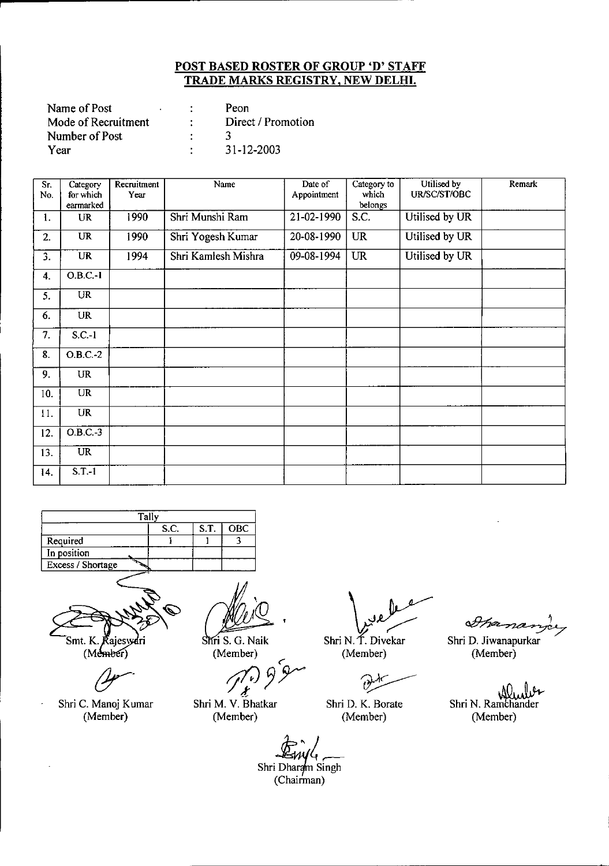| Name of Post        |  | Peon               |
|---------------------|--|--------------------|
| Mode of Recruitment |  | Direct / Promotion |
| Number of Post      |  |                    |
| Year                |  | 31-12-2003         |

| $\overline{\text{Sr.}}$<br>No. | Category<br>for which<br>earmarked | Recruitment<br>Year | Name                | Date of<br>Appointment | Category to<br>which<br>belongs | Utilised by<br>UR/SC/ST/OBC | Remark |
|--------------------------------|------------------------------------|---------------------|---------------------|------------------------|---------------------------------|-----------------------------|--------|
| 1.                             | <b>UR</b>                          | 1990                | Shri Munshi Ram     | 21-02-1990             | S.C.                            | Utilised by UR              |        |
| 2.                             | <b>UR</b>                          | 1990                | Shri Yogesh Kumar   | 20-08-1990             | <b>UR</b>                       | Utilised by UR              |        |
| 3.                             | <b>UR</b>                          | 1994                | Shri Kamlesh Mishra | 09-08-1994             | <b>UR</b>                       | Utilised by UR              |        |
| $\overline{4}$ .               | $O.B.C.-1$                         |                     |                     |                        |                                 |                             |        |
| 5.                             | <b>UR</b>                          |                     |                     |                        |                                 |                             |        |
| 6.                             | UR                                 |                     |                     |                        |                                 |                             |        |
| 7.                             | $S.C.-1$                           |                     |                     |                        |                                 |                             |        |
| 8.                             | $O.B.C.-2$                         |                     |                     |                        |                                 |                             |        |
| 9.                             | <b>UR</b>                          |                     |                     |                        |                                 |                             |        |
| 10.                            | $\overline{UR}$                    |                     |                     |                        |                                 |                             |        |
| 11.                            | <b>UR</b>                          |                     |                     |                        |                                 |                             |        |
| 12.                            | $O.B.C.-3$                         |                     |                     |                        |                                 |                             |        |
| 13.                            | <b>UR</b>                          |                     |                     |                        |                                 |                             |        |
| 14.                            | $S.T.-1$                           |                     |                     |                        |                                 |                             |        |

| Tally                      |  |  |  |  |  |  |  |
|----------------------------|--|--|--|--|--|--|--|
| S.T.<br>S.C.<br><b>OBC</b> |  |  |  |  |  |  |  |
| Required                   |  |  |  |  |  |  |  |
| In position                |  |  |  |  |  |  |  |
| Excess / Shortage          |  |  |  |  |  |  |  |
|                            |  |  |  |  |  |  |  |



 $(Mehbef)$ 

Shri C. Manoj Kumar (Member)

 $\ddot{\phantom{0}}$ 

(Member)

**ri** S. G. Naik<br>(Member)<br>*J*<sup>2</sup><sup>2</sup>*y*<sub>2</sub> ("" *J:*

Shri M. V. Bhatkar (Member)

\_V

Shri N. T. Divekar (Member)

 $\left\langle \cdot \right\rangle$ 

Shri D. K. Borate (Member)

Shri D. Jiwanapurkar (Member)

Shri N. Ramchander (Member)

*~ift;A:tltr-*Shri Dharam Singh (Chairman)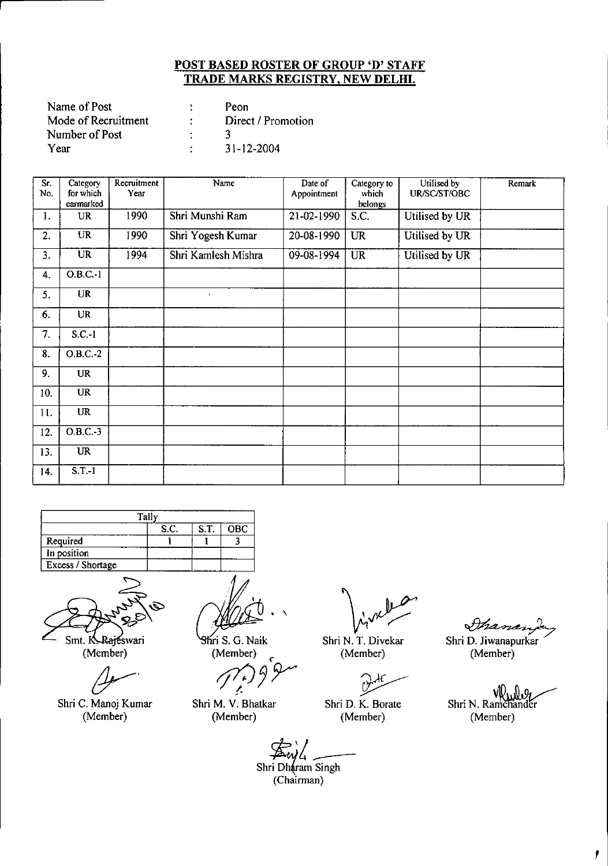| Name of Post        | Peon               |
|---------------------|--------------------|
| Mode of Recruitment | Direct / Promotion |
| Number of Post      |                    |
| Year                | 31-12-2004         |

| Sr.<br>No. | Category<br>for which<br>earmarked | Recruitment<br>Year | Name                | Date of<br>Appointment | Category to<br>which<br>belongs | Utilised by<br>UR/SC/ST/OBC | Remark |
|------------|------------------------------------|---------------------|---------------------|------------------------|---------------------------------|-----------------------------|--------|
| 1.         | UR                                 | 1990                | Shri Munshi Ram     | 21-02-1990             | S.C.                            | Utilised by UR              |        |
| 2.         | <b>UR</b>                          | 1990                | Shri Yogesh Kumar   | 20-08-1990             | <b>UR</b>                       | Utilised by UR              |        |
| 3.         | $\overline{\text{UR}}$             | 1994                | Shri Kamlesh Mishra | 09-08-1994             | <b>UR</b>                       | Utilised by UR              |        |
| 4.         | $O.B.C.-1$                         |                     |                     |                        |                                 |                             |        |
| 5.         | <b>UR</b>                          |                     |                     |                        |                                 |                             |        |
| 6.         | <b>UR</b>                          |                     |                     |                        |                                 |                             |        |
| 7.         | $S.C.-1$                           |                     |                     |                        |                                 |                             |        |
| 8.         | $O.B.C.-2$                         |                     |                     |                        |                                 |                             |        |
| 9.         | <b>UR</b>                          |                     |                     |                        |                                 |                             |        |
| 10.        | <b>UR</b>                          |                     |                     |                        |                                 |                             |        |
| 11.        | <b>UR</b>                          |                     |                     |                        |                                 |                             |        |
| 12.        | $O.B.C.-3$                         |                     |                     |                        |                                 |                             |        |
| 13.        | <b>UR</b>                          |                     |                     |                        |                                 |                             |        |
| 14.        | $S.T.-1$                           |                     |                     |                        |                                 |                             |        |

|                   | S.C. | S.T | OBC |  |  |  |
|-------------------|------|-----|-----|--|--|--|
| Required          |      |     |     |  |  |  |
| In position       |      |     |     |  |  |  |
| Excess / Shortage |      |     |     |  |  |  |
|                   |      |     |     |  |  |  |

Smt. K. Rajeswari (Member)

 $4-$ 

Shri C. Manoj Kumar (Member)

 $\ddot{\phantom{1}}$ 

ri S. G. Naik (Member) *c*

*rf10~r* !-

Shri M. V. Bhatkar (Member)

Shri N. T. Divekar (Member)

 $\theta$ 

Shri D. K. Borate (Member)

*mand* 

Shri D. Jiwanapurkar (Member)

. de 21 vO, Shri N. Ramchander (Member)

 $\mathbf{r}$ 

*5!c.;L \_* Shri Dharam Singh